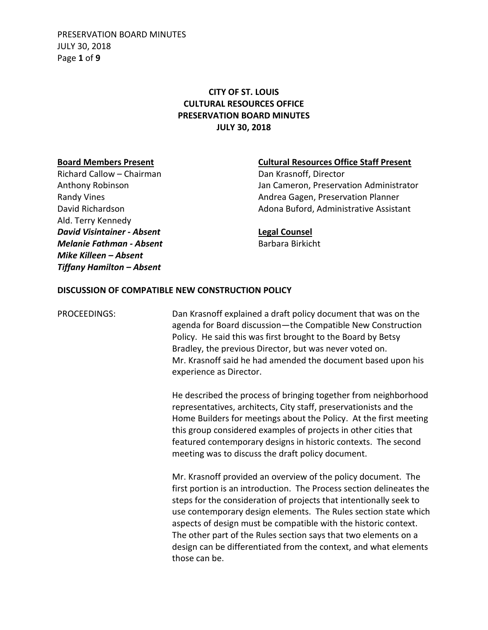PRESERVATION BOARD MINUTES JULY 30, 2018 Page **1** of **9**

# **CITY OF ST. LOUIS CULTURAL RESOURCES OFFICE PRESERVATION BOARD MINUTES JULY 30, 2018**

Richard Callow – Chairman Dan Krasnoff, Director Ald. Terry Kennedy *David Visintainer - Absent* **Legal Counsel** *Melanie Fathman - Absent* Barbara Birkicht *Mike Killeen – Absent Tiffany Hamilton – Absent*

## **Board Members Present Cultural Resources Office Staff Present**

Anthony Robinson Jan Cameron, Preservation Administrator Randy Vines **Andrea Gagen, Preservation Planner** Andrea Gagen, Preservation Planner David Richardson Adona Buford, Administrative Assistant

## **DISCUSSION OF COMPATIBLE NEW CONSTRUCTION POLICY**

PROCEEDINGS: Dan Krasnoff explained a draft policy document that was on the agenda for Board discussion—the Compatible New Construction Policy. He said this was first brought to the Board by Betsy Bradley, the previous Director, but was never voted on. Mr. Krasnoff said he had amended the document based upon his experience as Director.

> He described the process of bringing together from neighborhood representatives, architects, City staff, preservationists and the Home Builders for meetings about the Policy. At the first meeting this group considered examples of projects in other cities that featured contemporary designs in historic contexts. The second meeting was to discuss the draft policy document.

> Mr. Krasnoff provided an overview of the policy document. The first portion is an introduction. The Process section delineates the steps for the consideration of projects that intentionally seek to use contemporary design elements. The Rules section state which aspects of design must be compatible with the historic context. The other part of the Rules section says that two elements on a design can be differentiated from the context, and what elements those can be.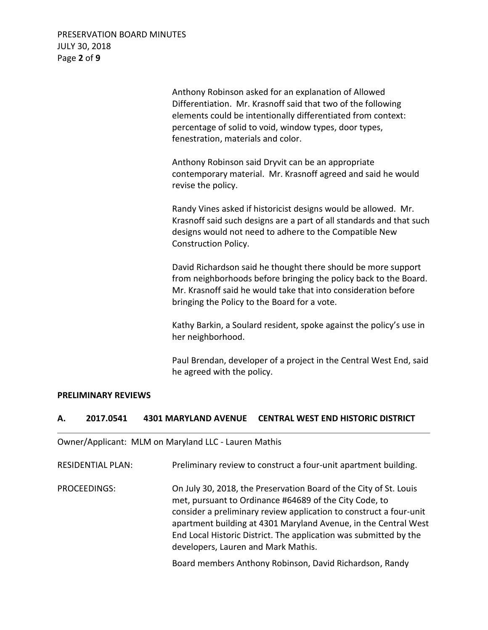PRESERVATION BOARD MINUTES JULY 30, 2018 Page **2** of **9**

> Anthony Robinson asked for an explanation of Allowed Differentiation. Mr. Krasnoff said that two of the following elements could be intentionally differentiated from context: percentage of solid to void, window types, door types, fenestration, materials and color.

Anthony Robinson said Dryvit can be an appropriate contemporary material. Mr. Krasnoff agreed and said he would revise the policy.

Randy Vines asked if historicist designs would be allowed. Mr. Krasnoff said such designs are a part of all standards and that such designs would not need to adhere to the Compatible New Construction Policy.

David Richardson said he thought there should be more support from neighborhoods before bringing the policy back to the Board. Mr. Krasnoff said he would take that into consideration before bringing the Policy to the Board for a vote.

Kathy Barkin, a Soulard resident, spoke against the policy's use in her neighborhood.

Paul Brendan, developer of a project in the Central West End, said he agreed with the policy.

## **PRELIMINARY REVIEWS**

## **A. 2017.0541 4301 MARYLAND AVENUE CENTRAL WEST END HISTORIC DISTRICT**

Owner/Applicant: MLM on Maryland LLC - Lauren Mathis

| <b>RESIDENTIAL PLAN:</b> | Preliminary review to construct a four-unit apartment building.                                                                                                                                                                                                                                                                                                                  |
|--------------------------|----------------------------------------------------------------------------------------------------------------------------------------------------------------------------------------------------------------------------------------------------------------------------------------------------------------------------------------------------------------------------------|
| PROCEEDINGS:             | On July 30, 2018, the Preservation Board of the City of St. Louis<br>met, pursuant to Ordinance #64689 of the City Code, to<br>consider a preliminary review application to construct a four-unit<br>apartment building at 4301 Maryland Avenue, in the Central West<br>End Local Historic District. The application was submitted by the<br>developers, Lauren and Mark Mathis. |
|                          | Board members Anthony Robinson, David Richardson, Randy                                                                                                                                                                                                                                                                                                                          |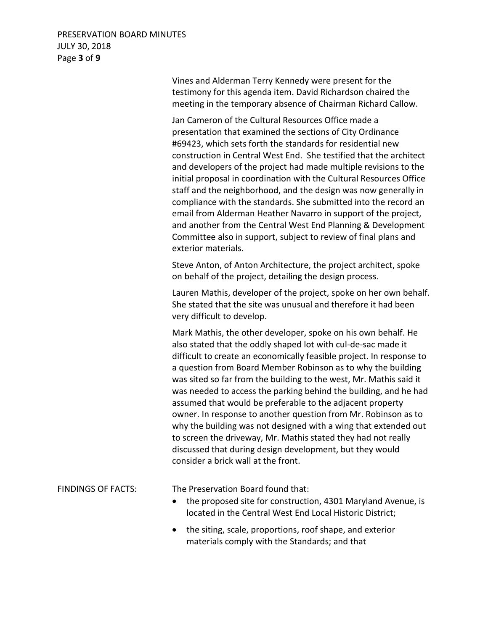Vines and Alderman Terry Kennedy were present for the testimony for this agenda item. David Richardson chaired the meeting in the temporary absence of Chairman Richard Callow.

Jan Cameron of the Cultural Resources Office made a presentation that examined the sections of City Ordinance #69423, which sets forth the standards for residential new construction in Central West End. She testified that the architect and developers of the project had made multiple revisions to the initial proposal in coordination with the Cultural Resources Office staff and the neighborhood, and the design was now generally in compliance with the standards. She submitted into the record an email from Alderman Heather Navarro in support of the project, and another from the Central West End Planning & Development Committee also in support, subject to review of final plans and exterior materials.

Steve Anton, of Anton Architecture, the project architect, spoke on behalf of the project, detailing the design process.

Lauren Mathis, developer of the project, spoke on her own behalf. She stated that the site was unusual and therefore it had been very difficult to develop.

Mark Mathis, the other developer, spoke on his own behalf. He also stated that the oddly shaped lot with cul-de-sac made it difficult to create an economically feasible project. In response to a question from Board Member Robinson as to why the building was sited so far from the building to the west, Mr. Mathis said it was needed to access the parking behind the building, and he had assumed that would be preferable to the adjacent property owner. In response to another question from Mr. Robinson as to why the building was not designed with a wing that extended out to screen the driveway, Mr. Mathis stated they had not really discussed that during design development, but they would consider a brick wall at the front.

FINDINGS OF FACTS: The Preservation Board found that:

- the proposed site for construction, 4301 Maryland Avenue, is located in the Central West End Local Historic District;
- the siting, scale, proportions, roof shape, and exterior materials comply with the Standards; and that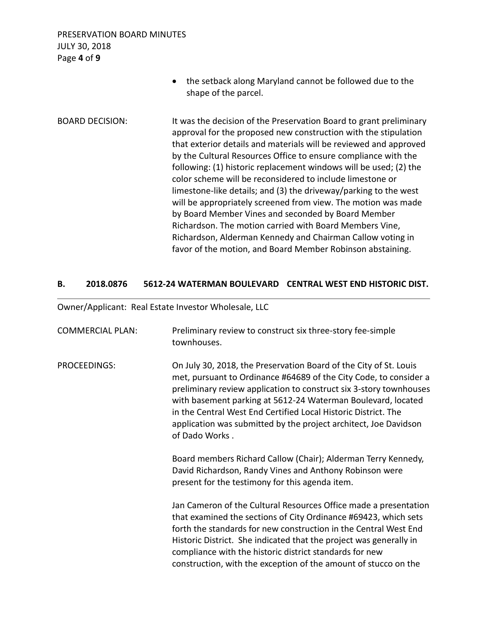PRESERVATION BOARD MINUTES JULY 30, 2018 Page **4** of **9**

• the setback along Maryland cannot be followed due to the shape of the parcel. BOARD DECISION: It was the decision of the Preservation Board to grant preliminary approval for the proposed new construction with the stipulation that exterior details and materials will be reviewed and approved by the Cultural Resources Office to ensure compliance with the following: (1) historic replacement windows will be used; (2) the color scheme will be reconsidered to include limestone or limestone-like details; and (3) the driveway/parking to the west will be appropriately screened from view. The motion was made by Board Member Vines and seconded by Board Member Richardson. The motion carried with Board Members Vine, Richardson, Alderman Kennedy and Chairman Callow voting in favor of the motion, and Board Member Robinson abstaining.

## **B. 2018.0876 5612-24 WATERMAN BOULEVARD CENTRAL WEST END HISTORIC DIST.**

Owner/Applicant: Real Estate Investor Wholesale, LLC

| <b>COMMERCIAL PLAN:</b> | Preliminary review to construct six three-story fee-simple<br>townhouses.                                                                                                                                                                                                                                                                                                                                                            |
|-------------------------|--------------------------------------------------------------------------------------------------------------------------------------------------------------------------------------------------------------------------------------------------------------------------------------------------------------------------------------------------------------------------------------------------------------------------------------|
| PROCEEDINGS:            | On July 30, 2018, the Preservation Board of the City of St. Louis<br>met, pursuant to Ordinance #64689 of the City Code, to consider a<br>preliminary review application to construct six 3-story townhouses<br>with basement parking at 5612-24 Waterman Boulevard, located<br>in the Central West End Certified Local Historic District. The<br>application was submitted by the project architect, Joe Davidson<br>of Dado Works. |
|                         | Board members Richard Callow (Chair); Alderman Terry Kennedy,<br>David Richardson, Randy Vines and Anthony Robinson were<br>present for the testimony for this agenda item.                                                                                                                                                                                                                                                          |
|                         | Jan Cameron of the Cultural Resources Office made a presentation<br>that examined the sections of City Ordinance #69423, which sets<br>forth the standards for new construction in the Central West End<br>Historic District. She indicated that the project was generally in<br>compliance with the historic district standards for new<br>construction, with the exception of the amount of stucco on the                          |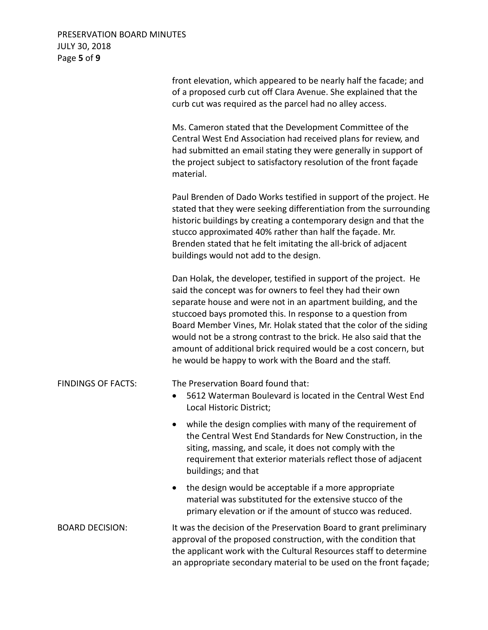# PRESERVATION BOARD MINUTES JULY 30, 2018 Page **5** of **9**

|                           | front elevation, which appeared to be nearly half the facade; and<br>of a proposed curb cut off Clara Avenue. She explained that the<br>curb cut was required as the parcel had no alley access.                                                                                                                                                                                                                                                                                                                                          |
|---------------------------|-------------------------------------------------------------------------------------------------------------------------------------------------------------------------------------------------------------------------------------------------------------------------------------------------------------------------------------------------------------------------------------------------------------------------------------------------------------------------------------------------------------------------------------------|
|                           | Ms. Cameron stated that the Development Committee of the<br>Central West End Association had received plans for review, and<br>had submitted an email stating they were generally in support of<br>the project subject to satisfactory resolution of the front façade<br>material.                                                                                                                                                                                                                                                        |
|                           | Paul Brenden of Dado Works testified in support of the project. He<br>stated that they were seeking differentiation from the surrounding<br>historic buildings by creating a contemporary design and that the<br>stucco approximated 40% rather than half the façade. Mr.<br>Brenden stated that he felt imitating the all-brick of adjacent<br>buildings would not add to the design.                                                                                                                                                    |
|                           | Dan Holak, the developer, testified in support of the project. He<br>said the concept was for owners to feel they had their own<br>separate house and were not in an apartment building, and the<br>stuccoed bays promoted this. In response to a question from<br>Board Member Vines, Mr. Holak stated that the color of the siding<br>would not be a strong contrast to the brick. He also said that the<br>amount of additional brick required would be a cost concern, but<br>he would be happy to work with the Board and the staff. |
| <b>FINDINGS OF FACTS:</b> | The Preservation Board found that:<br>5612 Waterman Boulevard is located in the Central West End<br>$\bullet$<br>Local Historic District;                                                                                                                                                                                                                                                                                                                                                                                                 |
|                           | while the design complies with many of the requirement of<br>the Central West End Standards for New Construction, in the<br>siting, massing, and scale, it does not comply with the<br>requirement that exterior materials reflect those of adjacent<br>buildings; and that                                                                                                                                                                                                                                                               |
|                           | the design would be acceptable if a more appropriate<br>$\bullet$<br>material was substituted for the extensive stucco of the<br>primary elevation or if the amount of stucco was reduced.                                                                                                                                                                                                                                                                                                                                                |
| <b>BOARD DECISION:</b>    | It was the decision of the Preservation Board to grant preliminary<br>approval of the proposed construction, with the condition that<br>the applicant work with the Cultural Resources staff to determine<br>an appropriate secondary material to be used on the front façade;                                                                                                                                                                                                                                                            |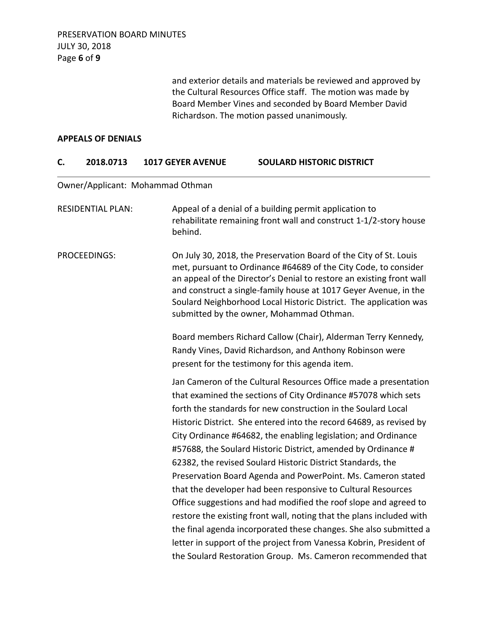and exterior details and materials be reviewed and approved by the Cultural Resources Office staff. The motion was made by Board Member Vines and seconded by Board Member David Richardson. The motion passed unanimously.

#### **APPEALS OF DENIALS**

## **C. 2018.0713 1017 GEYER AVENUE SOULARD HISTORIC DISTRICT**

## Owner/Applicant: Mohammad Othman

| Appeal of a denial of a building permit application to<br>rehabilitate remaining front wall and construct 1-1/2-story house<br>behind.                                                                                                                                                                                                                                                                                                                                                                                                                                                                       |
|--------------------------------------------------------------------------------------------------------------------------------------------------------------------------------------------------------------------------------------------------------------------------------------------------------------------------------------------------------------------------------------------------------------------------------------------------------------------------------------------------------------------------------------------------------------------------------------------------------------|
| On July 30, 2018, the Preservation Board of the City of St. Louis<br>met, pursuant to Ordinance #64689 of the City Code, to consider<br>an appeal of the Director's Denial to restore an existing front wall<br>and construct a single-family house at 1017 Geyer Avenue, in the<br>Soulard Neighborhood Local Historic District. The application was<br>submitted by the owner, Mohammad Othman.                                                                                                                                                                                                            |
| Board members Richard Callow (Chair), Alderman Terry Kennedy,                                                                                                                                                                                                                                                                                                                                                                                                                                                                                                                                                |
| Randy Vines, David Richardson, and Anthony Robinson were                                                                                                                                                                                                                                                                                                                                                                                                                                                                                                                                                     |
| present for the testimony for this agenda item.                                                                                                                                                                                                                                                                                                                                                                                                                                                                                                                                                              |
| Jan Cameron of the Cultural Resources Office made a presentation<br>that examined the sections of City Ordinance #57078 which sets<br>forth the standards for new construction in the Soulard Local<br>Historic District. She entered into the record 64689, as revised by<br>City Ordinance #64682, the enabling legislation; and Ordinance<br>#57688, the Soulard Historic District, amended by Ordinance #<br>62382, the revised Soulard Historic District Standards, the<br>Preservation Board Agenda and PowerPoint. Ms. Cameron stated<br>that the developer had been responsive to Cultural Resources |
| Office suggestions and had modified the roof slope and agreed to                                                                                                                                                                                                                                                                                                                                                                                                                                                                                                                                             |
| restore the existing front wall, noting that the plans included with                                                                                                                                                                                                                                                                                                                                                                                                                                                                                                                                         |
| the final agenda incorporated these changes. She also submitted a<br>letter in support of the project from Vanessa Kobrin, President of                                                                                                                                                                                                                                                                                                                                                                                                                                                                      |
| the Soulard Restoration Group. Ms. Cameron recommended that                                                                                                                                                                                                                                                                                                                                                                                                                                                                                                                                                  |
|                                                                                                                                                                                                                                                                                                                                                                                                                                                                                                                                                                                                              |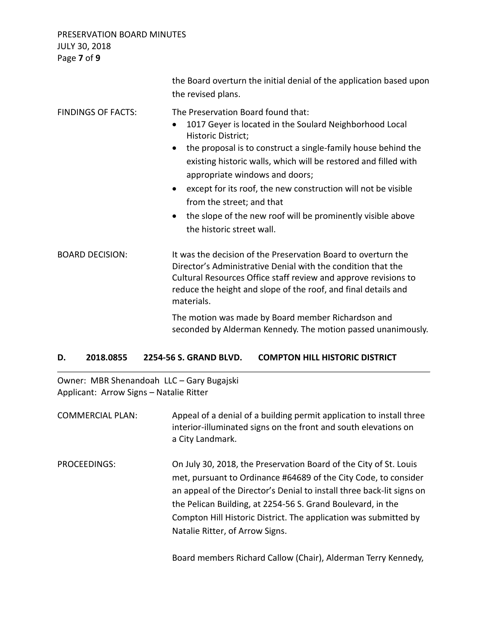PRESERVATION BOARD MINUTES JULY 30, 2018 Page **7** of **9**

|                           | the Board overturn the initial denial of the application based upon<br>the revised plans.                                                                                                                                                                                                                                                                                                                                                                                                                                               |
|---------------------------|-----------------------------------------------------------------------------------------------------------------------------------------------------------------------------------------------------------------------------------------------------------------------------------------------------------------------------------------------------------------------------------------------------------------------------------------------------------------------------------------------------------------------------------------|
| <b>FINDINGS OF FACTS:</b> | The Preservation Board found that:<br>1017 Geyer is located in the Soulard Neighborhood Local<br>$\bullet$<br>Historic District;<br>the proposal is to construct a single-family house behind the<br>$\bullet$<br>existing historic walls, which will be restored and filled with<br>appropriate windows and doors;<br>except for its roof, the new construction will not be visible<br>$\bullet$<br>from the street; and that<br>the slope of the new roof will be prominently visible above<br>$\bullet$<br>the historic street wall. |
| <b>BOARD DECISION:</b>    | It was the decision of the Preservation Board to overturn the<br>Director's Administrative Denial with the condition that the<br>Cultural Resources Office staff review and approve revisions to<br>reduce the height and slope of the roof, and final details and<br>materials.                                                                                                                                                                                                                                                        |
|                           | The motion was made by Board member Richardson and<br>seconded by Alderman Kennedy. The motion passed unanimously.                                                                                                                                                                                                                                                                                                                                                                                                                      |

## **D. 2018.0855 2254-56 S. GRAND BLVD. COMPTON HILL HISTORIC DISTRICT**

Owner: MBR Shenandoah LLC – Gary Bugajski Applicant: Arrow Signs – Natalie Ritter

| <b>COMMERCIAL PLAN:</b> | Appeal of a denial of a building permit application to install three<br>interior-illuminated signs on the front and south elevations on<br>a City Landmark.                                                                                                                                                                                                                         |
|-------------------------|-------------------------------------------------------------------------------------------------------------------------------------------------------------------------------------------------------------------------------------------------------------------------------------------------------------------------------------------------------------------------------------|
| PROCEEDINGS:            | On July 30, 2018, the Preservation Board of the City of St. Louis<br>met, pursuant to Ordinance #64689 of the City Code, to consider<br>an appeal of the Director's Denial to install three back-lit signs on<br>the Pelican Building, at 2254-56 S. Grand Boulevard, in the<br>Compton Hill Historic District. The application was submitted by<br>Natalie Ritter, of Arrow Signs. |

Board members Richard Callow (Chair), Alderman Terry Kennedy,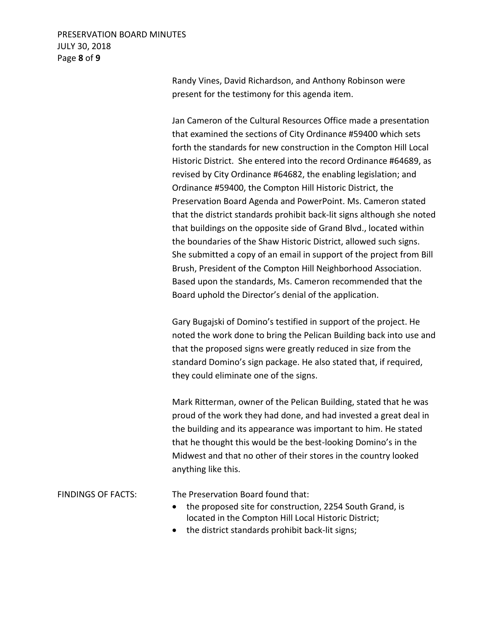## PRESERVATION BOARD MINUTES JULY 30, 2018 Page **8** of **9**

Randy Vines, David Richardson, and Anthony Robinson were present for the testimony for this agenda item.

Jan Cameron of the Cultural Resources Office made a presentation that examined the sections of City Ordinance #59400 which sets forth the standards for new construction in the Compton Hill Local Historic District. She entered into the record Ordinance #64689, as revised by City Ordinance #64682, the enabling legislation; and Ordinance #59400, the Compton Hill Historic District, the Preservation Board Agenda and PowerPoint. Ms. Cameron stated that the district standards prohibit back-lit signs although she noted that buildings on the opposite side of Grand Blvd., located within the boundaries of the Shaw Historic District, allowed such signs. She submitted a copy of an email in support of the project from Bill Brush, President of the Compton Hill Neighborhood Association. Based upon the standards, Ms. Cameron recommended that the Board uphold the Director's denial of the application.

Gary Bugajski of Domino's testified in support of the project. He noted the work done to bring the Pelican Building back into use and that the proposed signs were greatly reduced in size from the standard Domino's sign package. He also stated that, if required, they could eliminate one of the signs.

Mark Ritterman, owner of the Pelican Building, stated that he was proud of the work they had done, and had invested a great deal in the building and its appearance was important to him. He stated that he thought this would be the best-looking Domino's in the Midwest and that no other of their stores in the country looked anything like this.

FINDINGS OF FACTS: The Preservation Board found that:

- the proposed site for construction, 2254 South Grand, is located in the Compton Hill Local Historic District;
- the district standards prohibit back-lit signs;